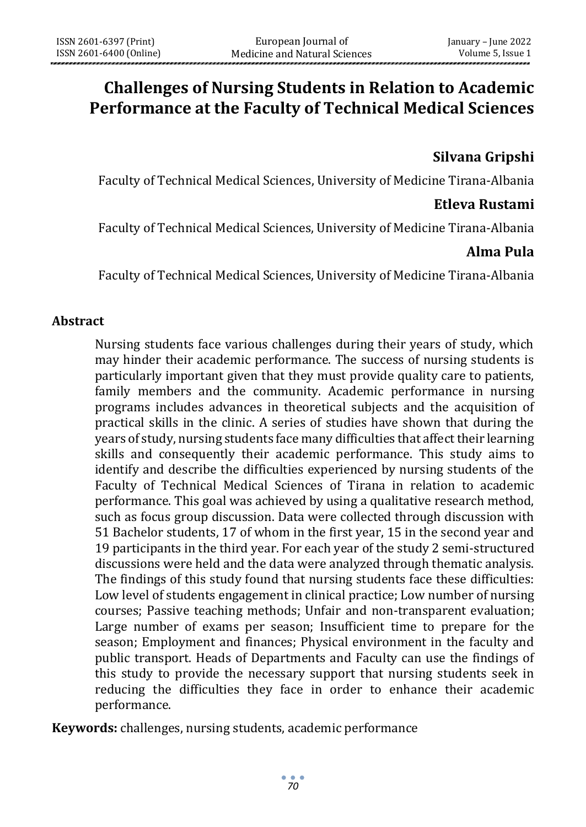# **Challenges of Nursing Students in Relation to Academic Performance at the Faculty of Technical Medical Sciences**

# **Silvana Gripshi**

Faculty of Technical Medical Sciences, University of Medicine Tirana-Albania

#### **Etleva Rustami**

Faculty of Technical Medical Sciences, University of Medicine Tirana-Albania

## **Alma Pula**

Faculty of Technical Medical Sciences, University of Medicine Tirana-Albania

#### **Abstract**

Nursing students face various challenges during their years of study, which may hinder their academic performance. The success of nursing students is particularly important given that they must provide quality care to patients, family members and the community. Academic performance in nursing programs includes advances in theoretical subjects and the acquisition of practical skills in the clinic. A series of studies have shown that during the years of study, nursing students face many difficulties that affect their learning skills and consequently their academic performance. This study aims to identify and describe the difficulties experienced by nursing students of the Faculty of Technical Medical Sciences of Tirana in relation to academic performance. This goal was achieved by using a qualitative research method, such as focus group discussion. Data were collected through discussion with 51 Bachelor students, 17 of whom in the first year, 15 in the second year and 19 participants in the third year. For each year of the study 2 semi-structured discussions were held and the data were analyzed through thematic analysis. The findings of this study found that nursing students face these difficulties: Low level of students engagement in clinical practice; Low number of nursing courses; Passive teaching methods; Unfair and non-transparent evaluation; Large number of exams per season; Insufficient time to prepare for the season; Employment and finances; Physical environment in the faculty and public transport. Heads of Departments and Faculty can use the findings of this study to provide the necessary support that nursing students seek in reducing the difficulties they face in order to enhance their academic performance.

**Keywords:** challenges, nursing students, academic performance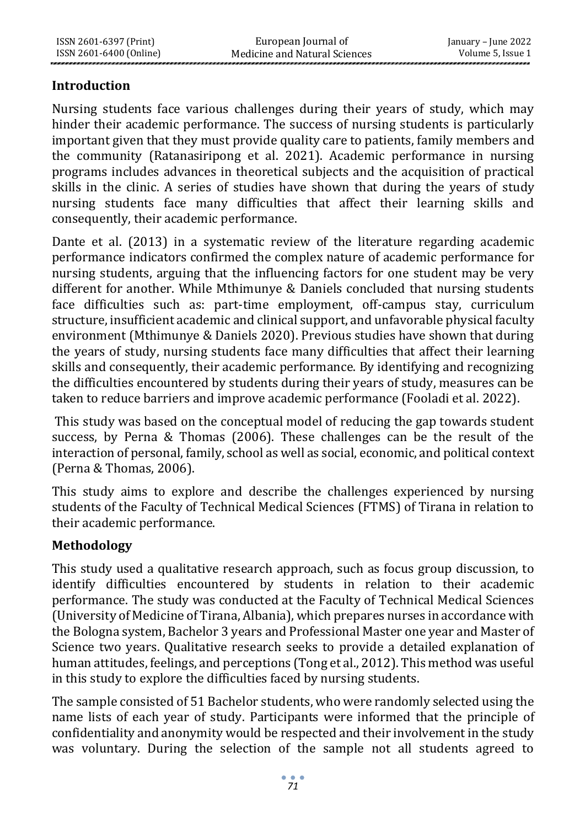# **Introduction**

Nursing students face various challenges during their years of study, which may hinder their academic performance. The success of nursing students is particularly important given that they must provide quality care to patients, family members and the community (Ratanasiripong et al. 2021). Academic performance in nursing programs includes advances in theoretical subjects and the acquisition of practical skills in the clinic. A series of studies have shown that during the years of study nursing students face many difficulties that affect their learning skills and consequently, their academic performance.

Dante et al. (2013) in a systematic review of the literature regarding academic performance indicators confirmed the complex nature of academic performance for nursing students, arguing that the influencing factors for one student may be very different for another. While Mthimunye & Daniels concluded that nursing students face difficulties such as: part-time employment, off-campus stay, curriculum structure, insufficient academic and clinical support, and unfavorable physical faculty environment (Mthimunye & Daniels 2020). Previous studies have shown that during the years of study, nursing students face many difficulties that affect their learning skills and consequently, their academic performance. By identifying and recognizing the difficulties encountered by students during their years of study, measures can be taken to reduce barriers and improve academic performance (Fooladi et al. 2022).

This study was based on the conceptual model of reducing the gap towards student success, by Perna & Thomas (2006). These challenges can be the result of the interaction of personal, family, school as well as social, economic, and political context (Perna & Thomas, 2006).

This study aims to explore and describe the challenges experienced by nursing students of the Faculty of Technical Medical Sciences (FTMS) of Tirana in relation to their academic performance.

## **Methodology**

This study used a qualitative research approach, such as focus group discussion, to identify difficulties encountered by students in relation to their academic performance. The study was conducted at the Faculty of Technical Medical Sciences (University of Medicine of Tirana, Albania), which prepares nurses in accordance with the Bologna system, Bachelor 3 years and Professional Master one year and Master of Science two years. Qualitative research seeks to provide a detailed explanation of human attitudes, feelings, and perceptions (Tong et al., 2012). This method was useful in this study to explore the difficulties faced by nursing students.

The sample consisted of 51 Bachelor students, who were randomly selected using the name lists of each year of study. Participants were informed that the principle of confidentiality and anonymity would be respected and their involvement in the study was voluntary. During the selection of the sample not all students agreed to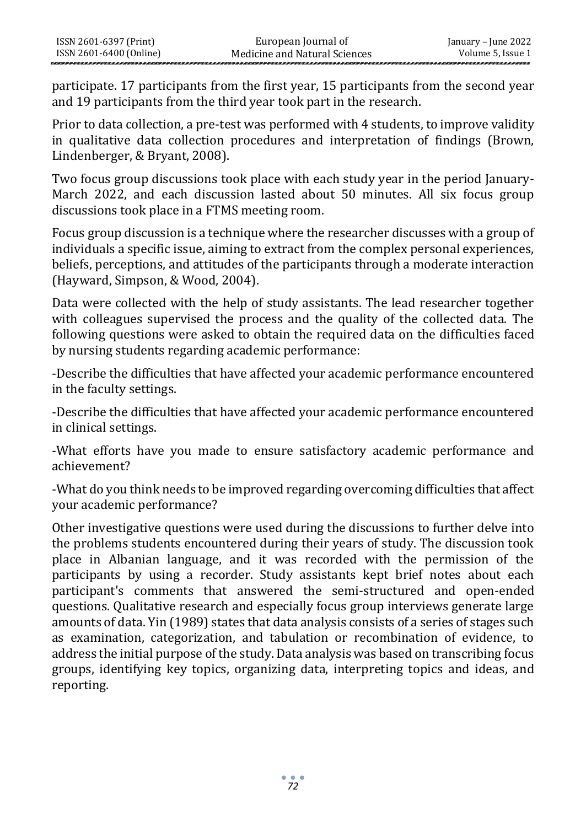participate. 17 participants from the first year, 15 participants from the second year and 19 participants from the third year took part in the research.

Prior to data collection, a pre-test was performed with 4 students, to improve validity in qualitative data collection procedures and interpretation of findings (Brown, Lindenberger, & Bryant, 2008).

Two focus group discussions took place with each study year in the period January-March 2022, and each discussion lasted about 50 minutes. All six focus group discussions took place in a FTMS meeting room.

Focus group discussion is a technique where the researcher discusses with a group of individuals a specific issue, aiming to extract from the complex personal experiences, beliefs, perceptions, and attitudes of the participants through a moderate interaction (Hayward, Simpson, & Wood, 2004).

Data were collected with the help of study assistants. The lead researcher together with colleagues supervised the process and the quality of the collected data. The following questions were asked to obtain the required data on the difficulties faced by nursing students regarding academic performance:

-Describe the difficulties that have affected your academic performance encountered in the faculty settings.

-Describe the difficulties that have affected your academic performance encountered in clinical settings.

-What efforts have you made to ensure satisfactory academic performance and achievement?

-What do you think needs to be improved regarding overcoming difficulties that affect your academic performance?

Other investigative questions were used during the discussions to further delve into the problems students encountered during their years of study. The discussion took place in Albanian language, and it was recorded with the permission of the participants by using a recorder. Study assistants kept brief notes about each participant's comments that answered the semi-structured and open-ended questions. Qualitative research and especially focus group interviews generate large amounts of data. Yin (1989) states that data analysis consists of a series of stages such as examination, categorization, and tabulation or recombination of evidence, to address the initial purpose of the study. Data analysis was based on transcribing focus groups, identifying key topics, organizing data, interpreting topics and ideas, and reporting.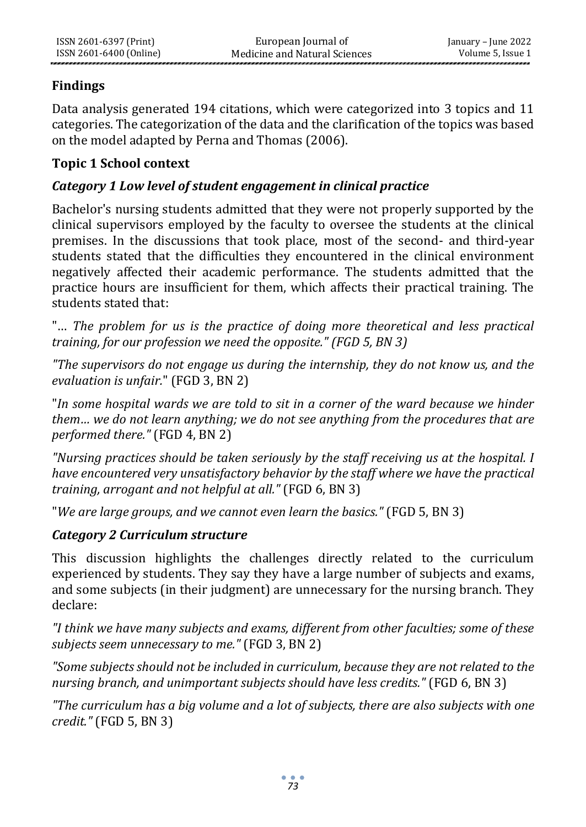# **Findings**

Data analysis generated 194 citations, which were categorized into 3 topics and 11 categories. The categorization of the data and the clarification of the topics was based on the model adapted by Perna and Thomas (2006).

# **Topic 1 School context**

# *Category 1 Low level of student engagement in clinical practice*

Bachelor's nursing students admitted that they were not properly supported by the clinical supervisors employed by the faculty to oversee the students at the clinical premises. In the discussions that took place, most of the second- and third-year students stated that the difficulties they encountered in the clinical environment negatively affected their academic performance. The students admitted that the practice hours are insufficient for them, which affects their practical training. The students stated that:

"... The problem for us is the practice of doing more theoretical and less practical *training, for our profession we need the opposite." (FGD 5, BN 3)*

*"The supervisors do not engage us during the internship, they do not know us, and the evaluation is unfair.*" (FGD 3, BN 2)

"*In some hospital wards we are told to sit in a corner of the ward because we hinder them… we do not learn anything; we do not see anything from the procedures that are performed there."* (FGD 4, BN 2)

*"Nursing practices should be taken seriously by the staff receiving us at the hospital. I have encountered very unsatisfactory behavior by the staff where we have the practical training, arrogant and not helpful at all."* (FGD 6, BN 3)

"*We are large groups, and we cannot even learn the basics."* (FGD 5, BN 3)

## *Category 2 Curriculum structure*

This discussion highlights the challenges directly related to the curriculum experienced by students. They say they have a large number of subjects and exams, and some subjects (in their judgment) are unnecessary for the nursing branch. They declare:

*"I think we have many subjects and exams, different from other faculties; some of these subjects seem unnecessary to me."* (FGD 3, BN 2)

*"Some subjects should not be included in curriculum, because they are not related to the nursing branch, and unimportant subjects should have less credits."* (FGD 6, BN 3)

*"The curriculum has a big volume and a lot of subjects, there are also subjects with one credit."* (FGD 5, BN 3)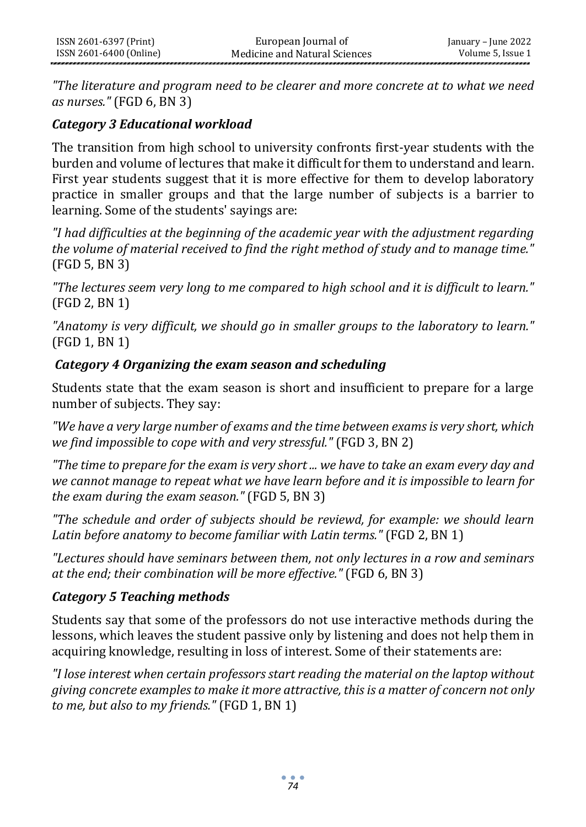*"The literature and program need to be clearer and more concrete at to what we need as nurses."* (FGD 6, BN 3)

#### *Category 3 Educational workload*

The transition from high school to university confronts first-year students with the burden and volume of lectures that make it difficult for them to understand and learn. First year students suggest that it is more effective for them to develop laboratory practice in smaller groups and that the large number of subjects is a barrier to learning. Some of the students' sayings are:

*"I had difficulties at the beginning of the academic year with the adjustment regarding the volume of material received to find the right method of study and to manage time."* (FGD 5, BN 3)

*"The lectures seem very long to me compared to high school and it is difficult to learn."* (FGD 2, BN 1)

*"Anatomy is very difficult, we should go in smaller groups to the laboratory to learn."* (FGD 1, BN 1)

#### *Category 4 Organizing the exam season and scheduling*

Students state that the exam season is short and insufficient to prepare for a large number of subjects. They say:

*"We have a very large number of exams and the time between exams is very short, which we find impossible to cope with and very stressful."* (FGD 3, BN 2)

*"The time to prepare for the exam is very short ... we have to take an exam every day and we cannot manage to repeat what we have learn before and it is impossible to learn for the exam during the exam season."* (FGD 5, BN 3)

*"The schedule and order of subjects should be reviewd, for example: we should learn Latin before anatomy to become familiar with Latin terms."* (FGD 2, BN 1)

*"Lectures should have seminars between them, not only lectures in a row and seminars at the end; their combination will be more effective."* (FGD 6, BN 3)

## *Category 5 Teaching methods*

Students say that some of the professors do not use interactive methods during the lessons, which leaves the student passive only by listening and does not help them in acquiring knowledge, resulting in loss of interest. Some of their statements are:

*"I lose interest when certain professors start reading the material on the laptop without giving concrete examples to make it more attractive, this is a matter of concern not only to me, but also to my friends."* (FGD 1, BN 1)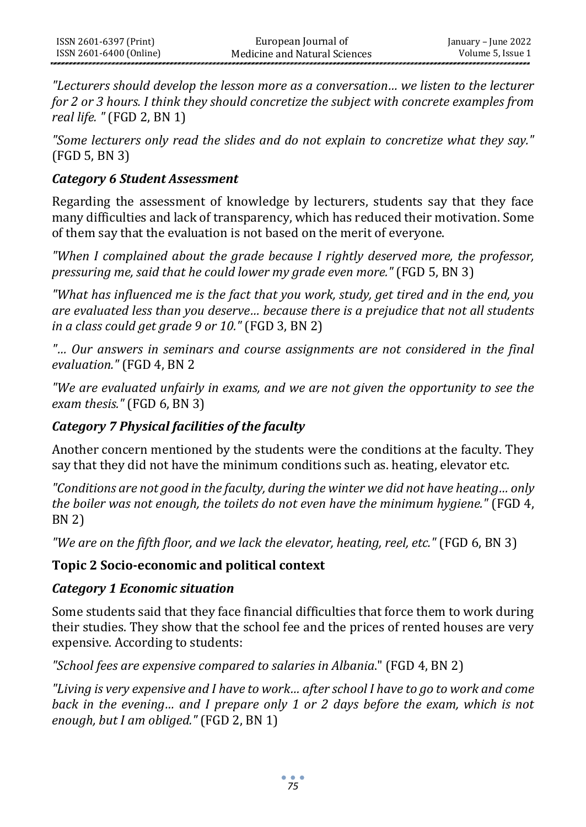*"Lecturers should develop the lesson more as a conversation… we listen to the lecturer for 2 or 3 hours. I think they should concretize the subject with concrete examples from real life. "* (FGD 2, BN 1)

*"Some lecturers only read the slides and do not explain to concretize what they say."* (FGD 5, BN 3)

## *Category 6 Student Assessment*

Regarding the assessment of knowledge by lecturers, students say that they face many difficulties and lack of transparency, which has reduced their motivation. Some of them say that the evaluation is not based on the merit of everyone.

*"When I complained about the grade because I rightly deserved more, the professor, pressuring me, said that he could lower my grade even more."* (FGD 5, BN 3)

*"What has influenced me is the fact that you work, study, get tired and in the end, you are evaluated less than you deserve… because there is a prejudice that not all students in a class could get grade 9 or 10."* (FGD 3, BN 2)

*"… Our answers in seminars and course assignments are not considered in the final evaluation."* (FGD 4, BN 2

*"We are evaluated unfairly in exams, and we are not given the opportunity to see the exam thesis."* (FGD 6, BN 3)

## *Category 7 Physical facilities of the faculty*

Another concern mentioned by the students were the conditions at the faculty. They say that they did not have the minimum conditions such as. heating, elevator etc.

*"Conditions are not good in the faculty, during the winter we did not have heating… only the boiler was not enough, the toilets do not even have the minimum hygiene."* (FGD 4, BN 2)

*"We are on the fifth floor, and we lack the elevator, heating, reel, etc."* (FGD 6, BN 3)

## **Topic 2 Socio-economic and political context**

## *Category 1 Economic situation*

Some students said that they face financial difficulties that force them to work during their studies. They show that the school fee and the prices of rented houses are very expensive. According to students:

*"School fees are expensive compared to salaries in Albania*." (FGD 4, BN 2)

*"Living is very expensive and I have to work… after school I have to go to work and come*  back in the evening... and I prepare only 1 or 2 days before the exam, which is not *enough, but I am obliged."* (FGD 2, BN 1)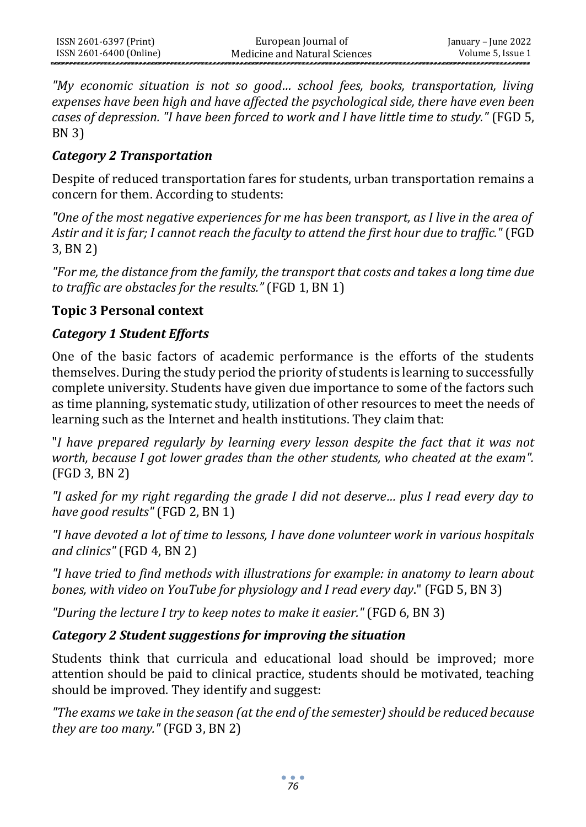*"My economic situation is not so good… school fees, books, transportation, living expenses have been high and have affected the psychological side, there have even been cases of depression. "I have been forced to work and I have little time to study."* (FGD 5, BN 3)

#### *Category 2 Transportation*

Despite of reduced transportation fares for students, urban transportation remains a concern for them. According to students:

*"One of the most negative experiences for me has been transport, as I live in the area of Astir and it is far; I cannot reach the faculty to attend the first hour due to traffic."* (FGD 3, BN 2)

*"For me, the distance from the family, the transport that costs and takes a long time due to traffic are obstacles for the results."* (FGD 1, BN 1)

#### **Topic 3 Personal context**

## *Category 1 Student Efforts*

One of the basic factors of academic performance is the efforts of the students themselves. During the study period the priority of students is learning to successfully complete university. Students have given due importance to some of the factors such as time planning, systematic study, utilization of other resources to meet the needs of learning such as the Internet and health institutions. They claim that:

"*I have prepared regularly by learning every lesson despite the fact that it was not worth, because I got lower grades than the other students, who cheated at the exam".* (FGD 3, BN 2)

*"I asked for my right regarding the grade I did not deserve… plus I read every day to have good results"* (FGD 2, BN 1)

*"I have devoted a lot of time to lessons, I have done volunteer work in various hospitals and clinics"* (FGD 4, BN 2)

*"I have tried to find methods with illustrations for example: in anatomy to learn about bones, with video on YouTube for physiology and I read every day*." (FGD 5, BN 3)

*"During the lecture I try to keep notes to make it easier."* (FGD 6, BN 3)

## *Category 2 Student suggestions for improving the situation*

Students think that curricula and educational load should be improved; more attention should be paid to clinical practice, students should be motivated, teaching should be improved. They identify and suggest:

*"The exams we take in the season (at the end of the semester) should be reduced because they are too many."* (FGD 3, BN 2)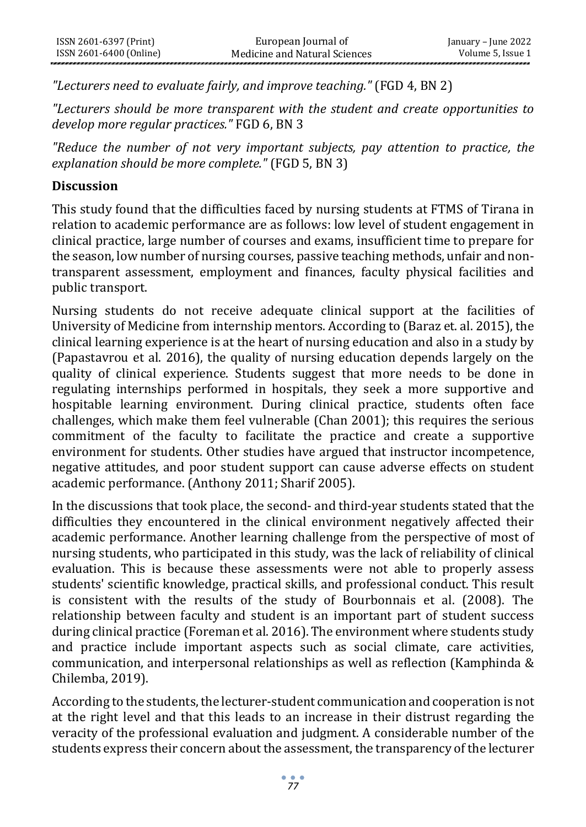*"Lecturers need to evaluate fairly, and improve teaching."* (FGD 4, BN 2)

*"Lecturers should be more transparent with the student and create opportunities to develop more regular practices."* FGD 6, BN 3

*"Reduce the number of not very important subjects, pay attention to practice, the explanation should be more complete."* (FGD 5, BN 3)

#### **Discussion**

This study found that the difficulties faced by nursing students at FTMS of Tirana in relation to academic performance are as follows: low level of student engagement in clinical practice, large number of courses and exams, insufficient time to prepare for the season, low number of nursing courses, passive teaching methods, unfair and nontransparent assessment, employment and finances, faculty physical facilities and public transport.

Nursing students do not receive adequate clinical support at the facilities of University of Medicine from internship mentors. According to (Baraz et. al. 2015), the clinical learning experience is at the heart of nursing education and also in a study by (Papastavrou et al. 2016), the quality of nursing education depends largely on the quality of clinical experience. Students suggest that more needs to be done in regulating internships performed in hospitals, they seek a more supportive and hospitable learning environment. During clinical practice, students often face challenges, which make them feel vulnerable (Chan 2001); this requires the serious commitment of the faculty to facilitate the practice and create a supportive environment for students. Other studies have argued that instructor incompetence, negative attitudes, and poor student support can cause adverse effects on student academic performance. (Anthony 2011; Sharif 2005).

In the discussions that took place, the second- and third-year students stated that the difficulties they encountered in the clinical environment negatively affected their academic performance. Another learning challenge from the perspective of most of nursing students, who participated in this study, was the lack of reliability of clinical evaluation. This is because these assessments were not able to properly assess students' scientific knowledge, practical skills, and professional conduct. This result is consistent with the results of the study of Bourbonnais et al. (2008). The relationship between faculty and student is an important part of student success during clinical practice (Foreman et al. 2016). The environment where students study and practice include important aspects such as social climate, care activities, communication, and interpersonal relationships as well as reflection (Kamphinda & Chilemba, 2019).

According to the students, the lecturer-student communication and cooperation is not at the right level and that this leads to an increase in their distrust regarding the veracity of the professional evaluation and judgment. A considerable number of the students express their concern about the assessment, the transparency of the lecturer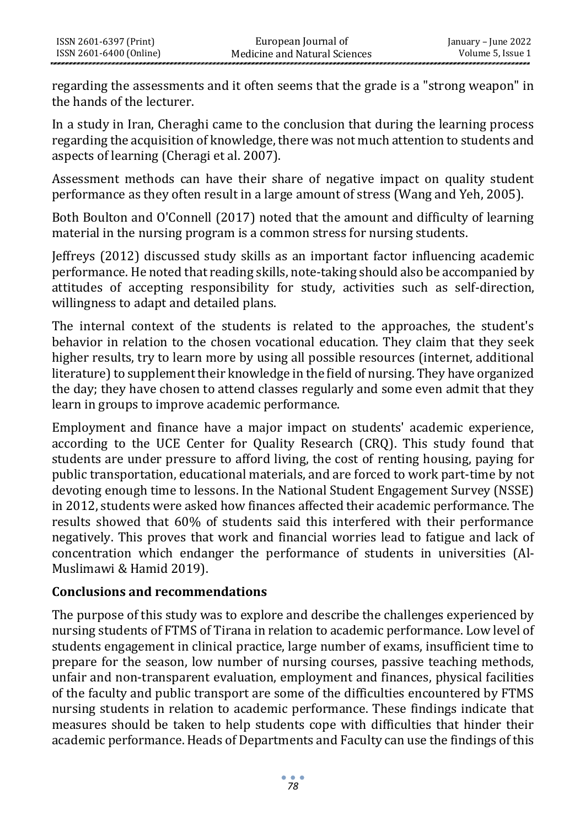regarding the assessments and it often seems that the grade is a "strong weapon" in the hands of the lecturer.

In a study in Iran, Cheraghi came to the conclusion that during the learning process regarding the acquisition of knowledge, there was not much attention to students and aspects of learning (Cheragi et al. 2007).

Assessment methods can have their share of negative impact on quality student performance as they often result in a large amount of stress (Wang and Yeh, 2005).

Both Boulton and O'Connell (2017) noted that the amount and difficulty of learning material in the nursing program is a common stress for nursing students.

Jeffreys (2012) discussed study skills as an important factor influencing academic performance. He noted that reading skills, note-taking should also be accompanied by attitudes of accepting responsibility for study, activities such as self-direction, willingness to adapt and detailed plans.

The internal context of the students is related to the approaches, the student's behavior in relation to the chosen vocational education. They claim that they seek higher results, try to learn more by using all possible resources (internet, additional literature) to supplement their knowledge in the field of nursing. They have organized the day; they have chosen to attend classes regularly and some even admit that they learn in groups to improve academic performance.

Employment and finance have a major impact on students' academic experience, according to the UCE Center for Quality Research (CRQ). This study found that students are under pressure to afford living, the cost of renting housing, paying for public transportation, educational materials, and are forced to work part-time by not devoting enough time to lessons. In the National Student Engagement Survey (NSSE) in 2012, students were asked how finances affected their academic performance. The results showed that 60% of students said this interfered with their performance negatively. This proves that work and financial worries lead to fatigue and lack of concentration which endanger the performance of students in universities (Al-Muslimawi & Hamid 2019).

## **Conclusions and recommendations**

The purpose of this study was to explore and describe the challenges experienced by nursing students of FTMS of Tirana in relation to academic performance. Low level of students engagement in clinical practice, large number of exams, insufficient time to prepare for the season, low number of nursing courses, passive teaching methods, unfair and non-transparent evaluation, employment and finances, physical facilities of the faculty and public transport are some of the difficulties encountered by FTMS nursing students in relation to academic performance. These findings indicate that measures should be taken to help students cope with difficulties that hinder their academic performance. Heads of Departments and Faculty can use the findings of this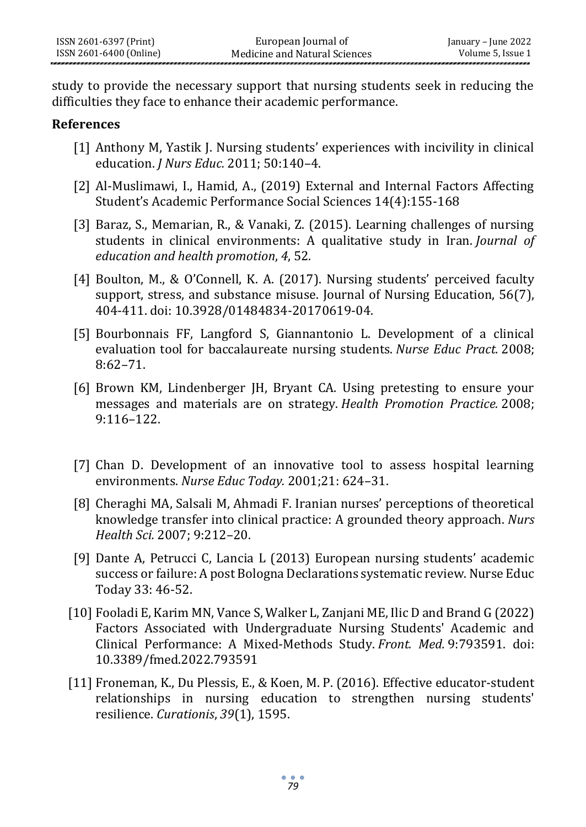study to provide the necessary support that nursing students seek in reducing the difficulties they face to enhance their academic performance.

#### **References**

- [1] Anthony M, Yastik J. Nursing students' experiences with incivility in clinical education. *J Nurs Educ.* 2011; 50:140–4.
- [2] Al-Muslimawi, I., Hamid, A., (2019) External and Internal Factors Affecting Student's Academic Performance Social Sciences 14(4):155-168
- [3] Baraz, S., Memarian, R., & Vanaki, Z. (2015). Learning challenges of nursing students in clinical environments: A qualitative study in Iran. *Journal of education and health promotion*, *4*, 52.
- [4] Boulton, M., & O'Connell, K. A. (2017). Nursing students' perceived faculty support, stress, and substance misuse. Journal of Nursing Education, 56(7), 404-411. doi: 10.3928/01484834-20170619-04.
- [5] Bourbonnais FF, Langford S, Giannantonio L. Development of a clinical evaluation tool for baccalaureate nursing students. *Nurse Educ Pract.* 2008; 8:62–71.
- [6] Brown KM, Lindenberger JH, Bryant CA. Using pretesting to ensure your messages and materials are on strategy. *Health Promotion Practice.* 2008; 9:116–122.
- [7] Chan D. Development of an innovative tool to assess hospital learning environments. *Nurse Educ Today.* 2001;21: 624–31.
- [8] Cheraghi MA, Salsali M, Ahmadi F. Iranian nurses' perceptions of theoretical knowledge transfer into clinical practice: A grounded theory approach. *Nurs Health Sci.* 2007; 9:212–20.
- [9] Dante A, Petrucci C, Lancia L (2013) European nursing students' academic success or failure: A post Bologna Declarations systematic review. Nurse Educ Today 33: 46-52.
- [10] Fooladi E, Karim MN, Vance S, Walker L, Zanjani ME, Ilic D and Brand G (2022) Factors Associated with Undergraduate Nursing Students' Academic and Clinical Performance: A Mixed-Methods Study. *Front. Med.* 9:793591. doi: 10.3389/fmed.2022.793591
- [11] Froneman, K., Du Plessis, E., & Koen, M. P. (2016). Effective educator-student relationships in nursing education to strengthen nursing students' resilience. *Curationis*, *39*(1), 1595.